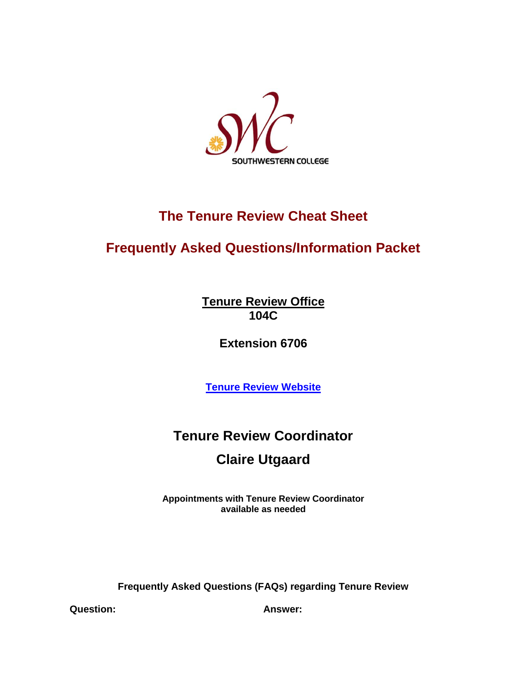

## **The Tenure Review Cheat Sheet**

## **Frequently Asked Questions/Information Packet**

**Tenure Review Office 104C**

**Extension 6706**

**[Tenure Review Website](https://www.swccd.edu/administration/tenure-review-and-faculty-evaluation/index.aspx)**

## **Tenure Review Coordinator**

## **Claire Utgaard**

**Appointments with Tenure Review Coordinator available as needed**

**Frequently Asked Questions (FAQs) regarding Tenure Review**

**Question: Answer:**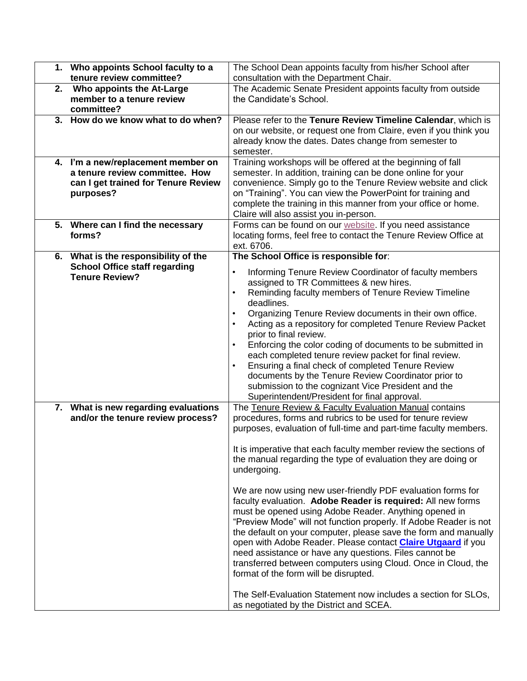|    | 1. Who appoints School faculty to a                           | The School Dean appoints faculty from his/her School after                                         |
|----|---------------------------------------------------------------|----------------------------------------------------------------------------------------------------|
|    | tenure review committee?                                      | consultation with the Department Chair.                                                            |
| 2. | Who appoints the At-Large                                     | The Academic Senate President appoints faculty from outside                                        |
|    | member to a tenure review                                     | the Candidate's School.                                                                            |
|    | committee?                                                    |                                                                                                    |
|    | 3. How do we know what to do when?                            | Please refer to the Tenure Review Timeline Calendar, which is                                      |
|    |                                                               | on our website, or request one from Claire, even if you think you                                  |
|    |                                                               | already know the dates. Dates change from semester to                                              |
|    |                                                               | semester.                                                                                          |
|    | 4. I'm a new/replacement member on                            | Training workshops will be offered at the beginning of fall                                        |
|    | a tenure review committee. How                                | semester. In addition, training can be done online for your                                        |
|    | can I get trained for Tenure Review                           | convenience. Simply go to the Tenure Review website and click                                      |
|    | purposes?                                                     | on "Training". You can view the PowerPoint for training and                                        |
|    |                                                               | complete the training in this manner from your office or home.                                     |
|    |                                                               | Claire will also assist you in-person.                                                             |
|    | 5. Where can I find the necessary                             | Forms can be found on our website. If you need assistance                                          |
|    | forms?                                                        | locating forms, feel free to contact the Tenure Review Office at                                   |
|    |                                                               | ext. 6706.                                                                                         |
|    | 6. What is the responsibility of the                          | The School Office is responsible for:                                                              |
|    | <b>School Office staff regarding</b><br><b>Tenure Review?</b> | Informing Tenure Review Coordinator of faculty members<br>$\bullet$                                |
|    |                                                               | assigned to TR Committees & new hires.                                                             |
|    |                                                               | Reminding faculty members of Tenure Review Timeline                                                |
|    |                                                               | deadlines.                                                                                         |
|    |                                                               | Organizing Tenure Review documents in their own office.                                            |
|    |                                                               | Acting as a repository for completed Tenure Review Packet                                          |
|    |                                                               | prior to final review.                                                                             |
|    |                                                               | Enforcing the color coding of documents to be submitted in                                         |
|    |                                                               | each completed tenure review packet for final review.                                              |
|    |                                                               | Ensuring a final check of completed Tenure Review<br>$\bullet$                                     |
|    |                                                               | documents by the Tenure Review Coordinator prior to                                                |
|    |                                                               | submission to the cognizant Vice President and the<br>Superintendent/President for final approval. |
|    | 7. What is new regarding evaluations                          | The Tenure Review & Faculty Evaluation Manual contains                                             |
|    | and/or the tenure review process?                             | procedures, forms and rubrics to be used for tenure review                                         |
|    |                                                               | purposes, evaluation of full-time and part-time faculty members.                                   |
|    |                                                               |                                                                                                    |
|    |                                                               | It is imperative that each faculty member review the sections of                                   |
|    |                                                               | the manual regarding the type of evaluation they are doing or                                      |
|    |                                                               | undergoing.                                                                                        |
|    |                                                               |                                                                                                    |
|    |                                                               | We are now using new user-friendly PDF evaluation forms for                                        |
|    |                                                               | faculty evaluation. Adobe Reader is required: All new forms                                        |
|    |                                                               | must be opened using Adobe Reader. Anything opened in                                              |
|    |                                                               | "Preview Mode" will not function properly. If Adobe Reader is not                                  |
|    |                                                               | the default on your computer, please save the form and manually                                    |
|    |                                                               | open with Adobe Reader. Please contact Claire Utgaard if you                                       |
|    |                                                               | need assistance or have any questions. Files cannot be                                             |
|    |                                                               | transferred between computers using Cloud. Once in Cloud, the                                      |
|    |                                                               | format of the form will be disrupted.                                                              |
|    |                                                               |                                                                                                    |
|    |                                                               | The Self-Evaluation Statement now includes a section for SLOs,                                     |
|    |                                                               | as negotiated by the District and SCEA.                                                            |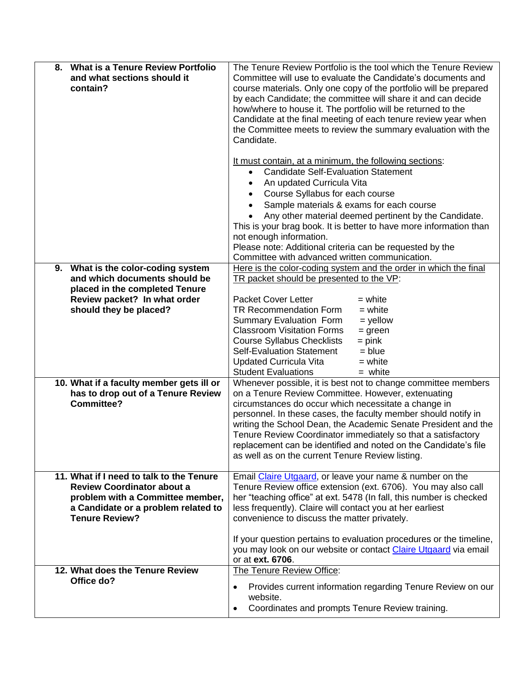| <b>What is a Tenure Review Portfolio</b><br>8.<br>and what sections should it<br>contain?                                                                                         | The Tenure Review Portfolio is the tool which the Tenure Review<br>Committee will use to evaluate the Candidate's documents and<br>course materials. Only one copy of the portfolio will be prepared<br>by each Candidate; the committee will share it and can decide<br>how/where to house it. The portfolio will be returned to the<br>Candidate at the final meeting of each tenure review year when<br>the Committee meets to review the summary evaluation with the<br>Candidate.<br>It must contain, at a minimum, the following sections:<br><b>Candidate Self-Evaluation Statement</b><br>$\bullet$<br>An updated Curricula Vita<br>$\bullet$<br>Course Syllabus for each course<br>$\bullet$<br>Sample materials & exams for each course<br>$\bullet$<br>Any other material deemed pertinent by the Candidate.<br>$\bullet$<br>This is your brag book. It is better to have more information than<br>not enough information.<br>Please note: Additional criteria can be requested by the |
|-----------------------------------------------------------------------------------------------------------------------------------------------------------------------------------|---------------------------------------------------------------------------------------------------------------------------------------------------------------------------------------------------------------------------------------------------------------------------------------------------------------------------------------------------------------------------------------------------------------------------------------------------------------------------------------------------------------------------------------------------------------------------------------------------------------------------------------------------------------------------------------------------------------------------------------------------------------------------------------------------------------------------------------------------------------------------------------------------------------------------------------------------------------------------------------------------|
| 9. What is the color-coding system<br>and which documents should be<br>placed in the completed Tenure                                                                             | Committee with advanced written communication.<br>Here is the color-coding system and the order in which the final<br>TR packet should be presented to the VP:<br><b>Packet Cover Letter</b><br>$=$ white                                                                                                                                                                                                                                                                                                                                                                                                                                                                                                                                                                                                                                                                                                                                                                                         |
| Review packet? In what order<br>should they be placed?                                                                                                                            | TR Recommendation Form<br>$=$ white<br>$=$ yellow<br><b>Summary Evaluation Form</b><br><b>Classroom Visitation Forms</b><br>$=$ green<br><b>Course Syllabus Checklists</b><br>$=$ pink<br><b>Self-Evaluation Statement</b><br>$= blue$<br>Updated Curricula Vita<br>$=$ white<br><b>Student Evaluations</b><br>$=$ white                                                                                                                                                                                                                                                                                                                                                                                                                                                                                                                                                                                                                                                                          |
| 10. What if a faculty member gets ill or<br>has to drop out of a Tenure Review<br><b>Committee?</b>                                                                               | Whenever possible, it is best not to change committee members<br>on a Tenure Review Committee. However, extenuating<br>circumstances do occur which necessitate a change in<br>personnel. In these cases, the faculty member should notify in<br>writing the School Dean, the Academic Senate President and the<br>Tenure Review Coordinator immediately so that a satisfactory<br>replacement can be identified and noted on the Candidate's file<br>as well as on the current Tenure Review listing.                                                                                                                                                                                                                                                                                                                                                                                                                                                                                            |
| 11. What if I need to talk to the Tenure<br><b>Review Coordinator about a</b><br>problem with a Committee member,<br>a Candidate or a problem related to<br><b>Tenure Review?</b> | Email Claire Utgaard, or leave your name & number on the<br>Tenure Review office extension (ext. 6706). You may also call<br>her "teaching office" at ext. 5478 (In fall, this number is checked<br>less frequently). Claire will contact you at her earliest<br>convenience to discuss the matter privately.                                                                                                                                                                                                                                                                                                                                                                                                                                                                                                                                                                                                                                                                                     |
|                                                                                                                                                                                   | If your question pertains to evaluation procedures or the timeline,<br>you may look on our website or contact Claire Utgaard via email<br>or at ext. 6706.                                                                                                                                                                                                                                                                                                                                                                                                                                                                                                                                                                                                                                                                                                                                                                                                                                        |
| 12. What does the Tenure Review<br>Office do?                                                                                                                                     | The Tenure Review Office:<br>Provides current information regarding Tenure Review on our<br>$\bullet$<br>website.<br>Coordinates and prompts Tenure Review training.                                                                                                                                                                                                                                                                                                                                                                                                                                                                                                                                                                                                                                                                                                                                                                                                                              |